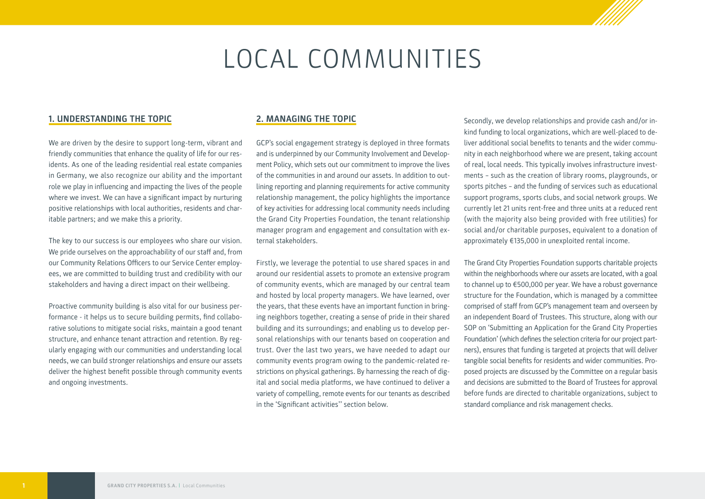# LOCAL COMMUNITIES

#### **1. UNDERSTANDING THE TOPIC**

We are driven by the desire to support long-term, vibrant and friendly communities that enhance the quality of life for our residents. As one of the leading residential real estate companies in Germany, we also recognize our ability and the important role we play in influencing and impacting the lives of the people where we invest. We can have a significant impact by nurturing positive relationships with local authorities, residents and charitable partners; and we make this a priority.

The key to our success is our employees who share our vision. We pride ourselves on the approachability of our staff and, from our Community Relations Officers to our Service Center employees, we are committed to building trust and credibility with our stakeholders and having a direct impact on their wellbeing.

Proactive community building is also vital for our business performance - it helps us to secure building permits, find collaborative solutions to mitigate social risks, maintain a good tenant structure, and enhance tenant attraction and retention. By regularly engaging with our communities and understanding local needs, we can build stronger relationships and ensure our assets deliver the highest benefit possible through community events and ongoing investments.

#### **2. MANAGING THE TOPIC**

GCP's social engagement strategy is deployed in three formats and is underpinned by our Community Involvement and Development Policy, which sets out our commitment to improve the lives of the communities in and around our assets. In addition to outlining reporting and planning requirements for active community relationship management, the policy highlights the importance of key activities for addressing local community needs including the Grand City Properties Foundation, the tenant relationship manager program and engagement and consultation with external stakeholders.

Firstly, we leverage the potential to use shared spaces in and around our residential assets to promote an extensive program of community events, which are managed by our central team and hosted by local property managers. We have learned, over the years, that these events have an important function in bringing neighbors together, creating a sense of pride in their shared building and its surroundings; and enabling us to develop personal relationships with our tenants based on cooperation and trust. Over the last two years, we have needed to adapt our community events program owing to the pandemic-related restrictions on physical gatherings. By harnessing the reach of digital and social media platforms, we have continued to deliver a variety of compelling, remote events for our tenants as described in the 'Significant activities'' section below.

Secondly, we develop relationships and provide cash and/or inkind funding to local organizations, which are well-placed to deliver additional social benefits to tenants and the wider community in each neighborhood where we are present, taking account of real, local needs. This typically involves infrastructure investments – such as the creation of library rooms, playgrounds, or sports pitches – and the funding of services such as educational support programs, sports clubs, and social network groups. We currently let 21 units rent-free and three units at a reduced rent (with the majority also being provided with free utilities) for social and/or charitable purposes, equivalent to a donation of approximately €135,000 in unexploited rental income.

The Grand City Properties Foundation supports charitable projects within the neighborhoods where our assets are located, with a goal to channel up to €500,000 per year. We have a robust governance structure for the Foundation, which is managed by a committee comprised of staff from GCP's management team and overseen by an independent Board of Trustees. This structure, along with our SOP on 'Submitting an Application for the Grand City Properties Foundation' (which defines the selection criteria for our project partners), ensures that funding is targeted at projects that will deliver tangible social benefits for residents and wider communities. Proposed projects are discussed by the Committee on a regular basis and decisions are submitted to the Board of Trustees for approval before funds are directed to charitable organizations, subject to standard compliance and risk management checks.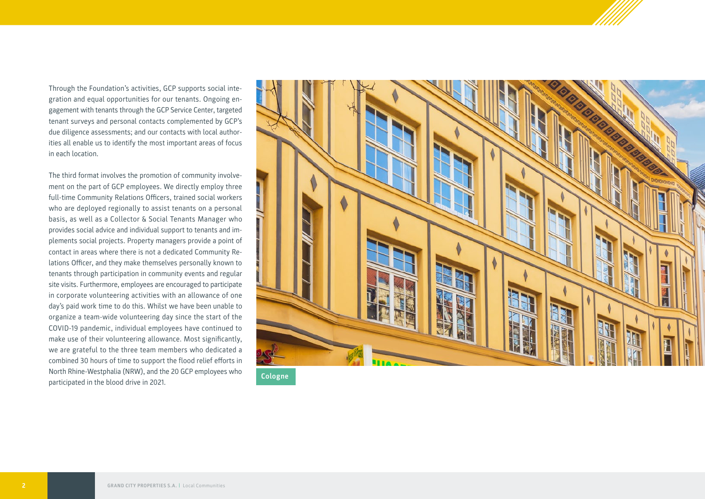Through the Foundation's activities, GCP supports social integration and equal opportunities for our tenants. Ongoing engagement with tenants through the GCP Service Center, targeted tenant surveys and personal contacts complemented by GCP's due diligence assessments; and our contacts with local authorities all enable us to identify the most important areas of focus in each location.

The third format involves the promotion of community involvement on the part of GCP employees. We directly employ three full-time Community Relations Officers, trained social workers who are deployed regionally to assist tenants on a personal basis, as well as a Collector & Social Tenants Manager who provides social advice and individual support to tenants and implements social projects. Property managers provide a point of contact in areas where there is not a dedicated Community Relations Officer, and they make themselves personally known to tenants through participation in community events and regular site visits. Furthermore, employees are encouraged to participate in corporate volunteering activities with an allowance of one day's paid work time to do this. Whilst we have been unable to organize a team-wide volunteering day since the start of the COVID-19 pandemic, individual employees have continued to make use of their volunteering allowance. Most significantly, we are grateful to the three team members who dedicated a combined 30 hours of time to support the flood relief efforts in North Rhine-Westphalia (NRW), and the 20 GCP employees who north Rhine-westphalia (NRW), and the 20 GCP employees who

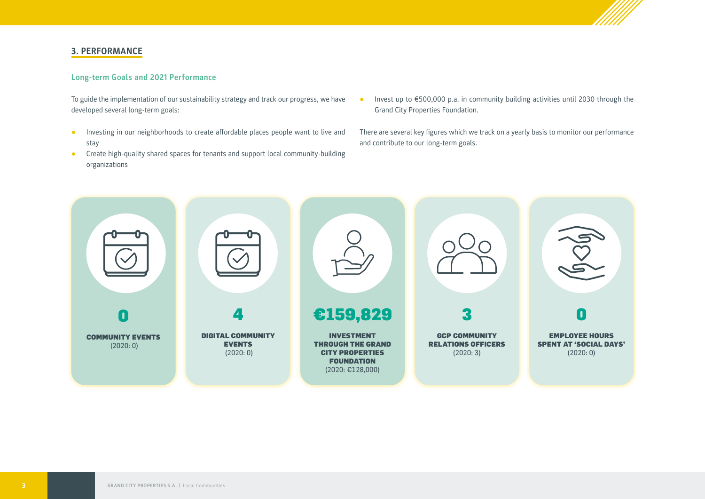

# **3. PERFORMANCE**

## **Long-term Goals and 2021 Performance**

To guide the implementation of our sustainability strategy and track our progress, we have developed several long-term goals:

- **●** Investing in our neighborhoods to create affordable places people want to live and stay
- **●** Create high-quality shared spaces for tenants and support local community-building organizations
- **●** Invest up to €500,000 p.a. in community building activities until 2030 through the Grand City Properties Foundation.

There are several key figures which we track on a yearly basis to monitor our performance and contribute to our long-term goals.

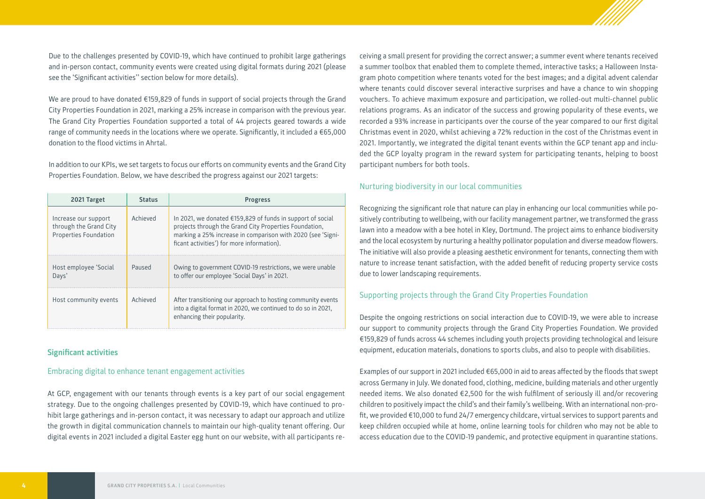

Due to the challenges presented by COVID-19, which have continued to prohibit large gatherings and in-person contact, community events were created using digital formats during 2021 (please see the 'Significant activities'' section below for more details).

We are proud to have donated €159,829 of funds in support of social projects through the Grand City Properties Foundation in 2021, marking a 25% increase in comparison with the previous year. The Grand City Properties Foundation supported a total of 44 projects geared towards a wide range of community needs in the locations where we operate. Significantly, it included a €65,000 donation to the flood victims in Ahrtal.

In addition to our KPIs, we set targets to focus our efforts on community events and the Grand City Properties Foundation. Below, we have described the progress against our 2021 targets:

| 2021 Target                                                             | <b>Status</b> | <b>Progress</b>                                                                                                                                                                                                                   |  |  |
|-------------------------------------------------------------------------|---------------|-----------------------------------------------------------------------------------------------------------------------------------------------------------------------------------------------------------------------------------|--|--|
| Increase our support<br>through the Grand City<br>Properties Foundation | Achieved      | In 2021, we donated €159,829 of funds in support of social<br>projects through the Grand City Properties Foundation,<br>marking a 25% increase in comparison with 2020 (see 'Signi-<br>ficant activities') for more information). |  |  |
| Host employee 'Social<br>Days'                                          | Paused        | Owing to government COVID-19 restrictions, we were unable<br>to offer our employee 'Social Days' in 2021.                                                                                                                         |  |  |
| Host community events                                                   | Achieved      | After transitioning our approach to hosting community events<br>into a digital format in 2020, we continued to do so in 2021,<br>enhancing their popularity.                                                                      |  |  |

#### **Significant activities**

#### Embracing digital to enhance tenant engagement activities

At GCP, engagement with our tenants through events is a key part of our social engagement strategy. Due to the ongoing challenges presented by COVID-19, which have continued to prohibit large gatherings and in-person contact, it was necessary to adapt our approach and utilize the growth in digital communication channels to maintain our high-quality tenant offering. Our digital events in 2021 included a digital Easter egg hunt on our website, with all participants re-

ceiving a small present for providing the correct answer; a summer event where tenants received a summer toolbox that enabled them to complete themed, interactive tasks; a Halloween Instagram photo competition where tenants voted for the best images; and a digital advent calendar where tenants could discover several interactive surprises and have a chance to win shopping vouchers. To achieve maximum exposure and participation, we rolled-out multi-channel public relations programs. As an indicator of the success and growing popularity of these events, we recorded a 93% increase in participants over the course of the year compared to our first digital Christmas event in 2020, whilst achieving a 72% reduction in the cost of the Christmas event in 2021. Importantly, we integrated the digital tenant events within the GCP tenant app and included the GCP loyalty program in the reward system for participating tenants, helping to boost participant numbers for both tools.

#### Nurturing biodiversity in our local communities

Recognizing the significant role that nature can play in enhancing our local communities while positively contributing to wellbeing, with our facility management partner, we transformed the grass lawn into a meadow with a bee hotel in Kley, Dortmund. The project aims to enhance biodiversity and the local ecosystem by nurturing a healthy pollinator population and diverse meadow flowers. The initiative will also provide a pleasing aesthetic environment for tenants, connecting them with nature to increase tenant satisfaction, with the added benefit of reducing property service costs due to lower landscaping requirements.

### Supporting projects through the Grand City Properties Foundation

Despite the ongoing restrictions on social interaction due to COVID-19, we were able to increase our support to community projects through the Grand City Properties Foundation. We provided €159,829 of funds across 44 schemes including youth projects providing technological and leisure equipment, education materials, donations to sports clubs, and also to people with disabilities.

Examples of our support in 2021 included €65,000 in aid to areas affected by the floods that swept across Germany in July. We donated food, clothing, medicine, building materials and other urgently needed items. We also donated €2,500 for the wish fulfilment of seriously ill and/or recovering children to positively impact the child's and their family's wellbeing. With an international non-profit, we provided €10,000 to fund 24/7 emergency childcare, virtual services to support parents and keep children occupied while at home, online learning tools for children who may not be able to access education due to the COVID-19 pandemic, and protective equipment in quarantine stations.